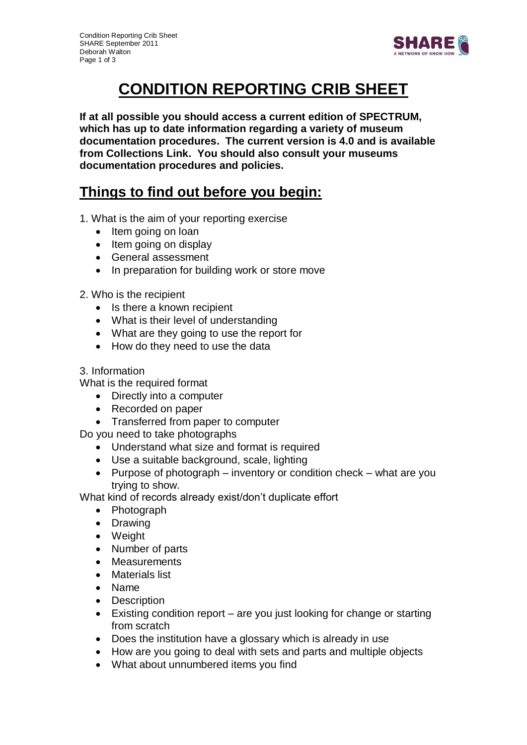

# **CONDITION REPORTING CRIB SHEET**

**If at all possible you should access a current edition of SPECTRUM, which has up to date information regarding a variety of museum documentation procedures. The current version is 4.0 and is available from Collections Link. You should also consult your museums documentation procedures and policies.** 

## **Things to find out before you begin:**

- 1. What is the aim of your reporting exercise
	- Item going on loan
	- $\bullet$  Item going on display
	- General assessment
	- In preparation for building work or store move
- 2. Who is the recipient
	- Is there a known recipient
	- What is their level of understanding
	- What are they going to use the report for
	- How do they need to use the data

#### 3. Information

What is the required format

- Directly into a computer
- Recorded on paper
- Transferred from paper to computer

Do you need to take photographs

- Understand what size and format is required
- Use a suitable background, scale, lighting
- Purpose of photograph inventory or condition check what are you trying to show.

What kind of records already exist/don't duplicate effort

- Photograph
- Drawing
- Weight
- Number of parts
- Measurements
- Materials list
- Name
- Description
- Existing condition report are you just looking for change or starting from scratch
- Does the institution have a glossary which is already in use
- How are you going to deal with sets and parts and multiple objects
- What about unnumbered items you find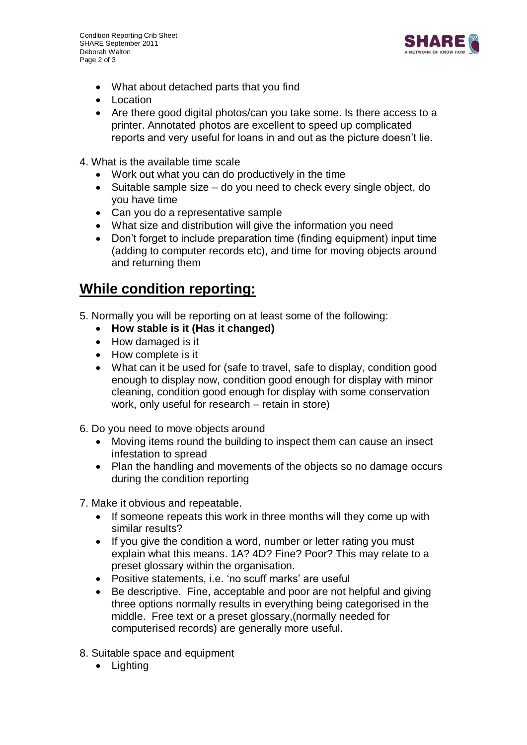Condition Reporting Crib Sheet SHARE September 2011 Deborah Walton Page 2 of 3



- What about detached parts that you find
- Location
- Are there good digital photos/can you take some. Is there access to a printer. Annotated photos are excellent to speed up complicated reports and very useful for loans in and out as the picture doesn't lie.
- 4. What is the available time scale
	- Work out what you can do productively in the time
	- Suitable sample size do you need to check every single object, do you have time
	- Can you do a representative sample
	- What size and distribution will give the information you need
	- Don't forget to include preparation time (finding equipment) input time (adding to computer records etc), and time for moving objects around and returning them

### **While condition reporting:**

- 5. Normally you will be reporting on at least some of the following:
	- **How stable is it (Has it changed)**
	- How damaged is it
	- How complete is it
	- What can it be used for (safe to travel, safe to display, condition good enough to display now, condition good enough for display with minor cleaning, condition good enough for display with some conservation work, only useful for research – retain in store)
- 6. Do you need to move objects around
	- Moving items round the building to inspect them can cause an insect infestation to spread
	- Plan the handling and movements of the objects so no damage occurs during the condition reporting
- 7. Make it obvious and repeatable.
	- If someone repeats this work in three months will they come up with similar results?
	- If you give the condition a word, number or letter rating you must explain what this means. 1A? 4D? Fine? Poor? This may relate to a preset glossary within the organisation.
	- Positive statements, i.e. 'no scuff marks' are useful
	- Be descriptive. Fine, acceptable and poor are not helpful and giving three options normally results in everything being categorised in the middle. Free text or a preset glossary,(normally needed for computerised records) are generally more useful.
- 8. Suitable space and equipment
	- Lighting